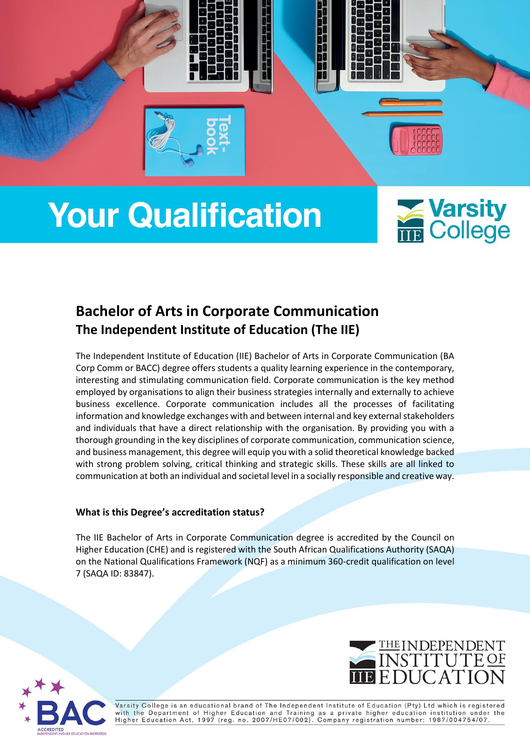

# **Your Qualification**



# **Bachelor of Arts in Corporate Communication The Independent Institute of Education (The IIE)**

The Independent Institute of Education (IIE) Bachelor of Arts in Corporate Communication (BA Corp Comm or BACC) degree offers students a quality learning experience in the contemporary, interesting and stimulating communication field. Corporate communication is the key method employed by organisations to align their business strategies internally and externally to achieve business excellence. Corporate communication includes all the processes of facilitating information and knowledge exchanges with and between internal and key external stakeholders and individuals that have a direct relationship with the organisation. By providing you with a thorough grounding in the key disciplines of corporate communication, communication science, and business management, this degree will equip you with a solid theoretical knowledge backed with strong problem solving, critical thinking and strategic skills. These skills are all linked to communication at both an individual and societal level in a socially responsible and creative way.

# **What is this Degree's accreditation status?**

The IIE Bachelor of Arts in Corporate Communication degree is accredited by the Council on Higher Education (CHE) and is registered with the South African Qualifications Authority (SAQA) on the National Qualifications Framework (NQF) as a minimum 360-credit qualification on level 7 (SAQA ID: 83847).





.<br>Varsity College is an educational brand of The Independent Institute of Education (Pty) Ltd which is registered with the Department of Higher Education and Training as a private higher education institution under the<br>Higher Education Act, 1997 (reg. no. 2007/HE07/002). Company registration number: 1987/004754/07.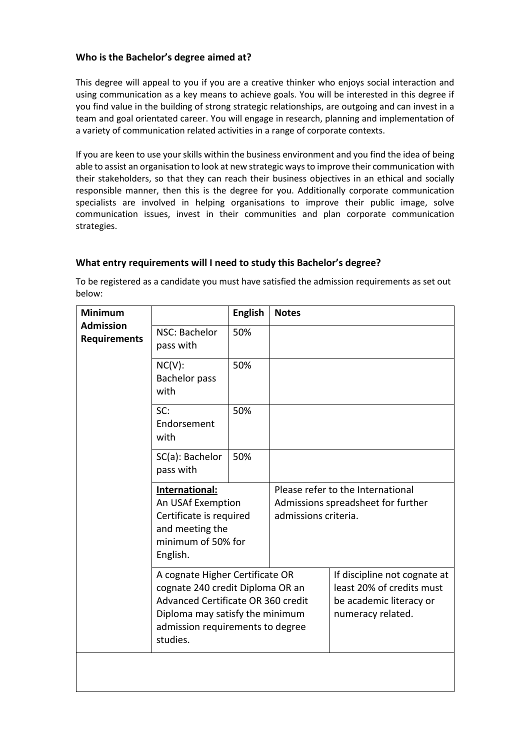# **Who is the Bachelor's degree aimed at?**

This degree will appeal to you if you are a creative thinker who enjoys social interaction and using communication as a key means to achieve goals. You will be interested in this degree if you find value in the building of strong strategic relationships, are outgoing and can invest in a team and goal orientated career. You will engage in research, planning and implementation of a variety of communication related activities in a range of corporate contexts.

If you are keen to use your skills within the business environment and you find the idea of being able to assist an organisation to look at new strategic ways to improve their communication with their stakeholders, so that they can reach their business objectives in an ethical and socially responsible manner, then this is the degree for you. Additionally corporate communication specialists are involved in helping organisations to improve their public image, solve communication issues, invest in their communities and plan corporate communication strategies.

# **What entry requirements will I need to study this Bachelor's degree?**

To be registered as a candidate you must have satisfied the admission requirements as set out below:

| <b>Minimum</b><br><b>Admission</b><br><b>Requirements</b> |                                                                                                                                                                                              | <b>English</b> | <b>Notes</b>                                                                                    |                                                                                                           |  |
|-----------------------------------------------------------|----------------------------------------------------------------------------------------------------------------------------------------------------------------------------------------------|----------------|-------------------------------------------------------------------------------------------------|-----------------------------------------------------------------------------------------------------------|--|
|                                                           | NSC: Bachelor<br>pass with                                                                                                                                                                   | 50%            |                                                                                                 |                                                                                                           |  |
|                                                           | $NC(V)$ :<br>Bachelor pass<br>with                                                                                                                                                           | 50%            |                                                                                                 |                                                                                                           |  |
|                                                           | SC:<br>Endorsement<br>with                                                                                                                                                                   | 50%            |                                                                                                 |                                                                                                           |  |
|                                                           | SC(a): Bachelor<br>pass with                                                                                                                                                                 | 50%            |                                                                                                 |                                                                                                           |  |
|                                                           | International:<br>An USAf Exemption<br>Certificate is required<br>and meeting the<br>minimum of 50% for<br>English.                                                                          |                | Please refer to the International<br>Admissions spreadsheet for further<br>admissions criteria. |                                                                                                           |  |
|                                                           | A cognate Higher Certificate OR<br>cognate 240 credit Diploma OR an<br>Advanced Certificate OR 360 credit<br>Diploma may satisfy the minimum<br>admission requirements to degree<br>studies. |                |                                                                                                 | If discipline not cognate at<br>least 20% of credits must<br>be academic literacy or<br>numeracy related. |  |
|                                                           |                                                                                                                                                                                              |                |                                                                                                 |                                                                                                           |  |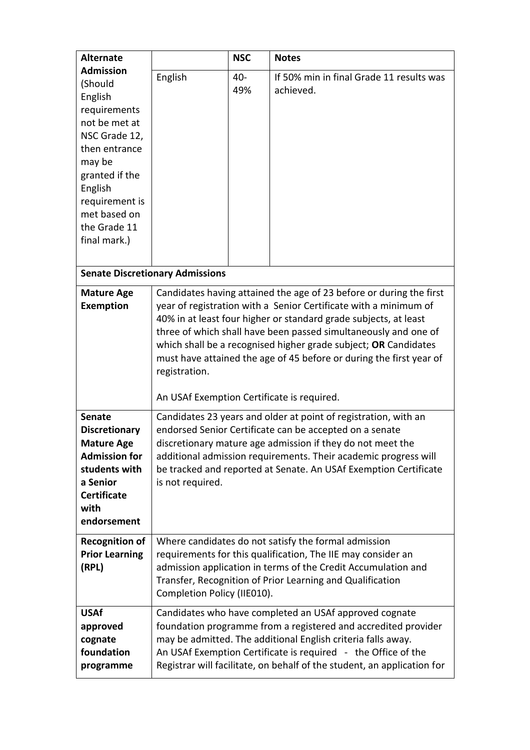| <b>Alternate</b>                                                                                                                                                                                   |                                                                                                                                                                                                                                                                                                                                                                                                                                                                                         | <b>NSC</b>                                                                                                                                                                                                                                                                                                                           | <b>Notes</b>                                          |  |  |  |  |
|----------------------------------------------------------------------------------------------------------------------------------------------------------------------------------------------------|-----------------------------------------------------------------------------------------------------------------------------------------------------------------------------------------------------------------------------------------------------------------------------------------------------------------------------------------------------------------------------------------------------------------------------------------------------------------------------------------|--------------------------------------------------------------------------------------------------------------------------------------------------------------------------------------------------------------------------------------------------------------------------------------------------------------------------------------|-------------------------------------------------------|--|--|--|--|
| <b>Admission</b><br>(Should<br>English<br>requirements<br>not be met at<br>NSC Grade 12,<br>then entrance<br>may be<br>granted if the<br>English<br>requirement is<br>met based on<br>the Grade 11 | English                                                                                                                                                                                                                                                                                                                                                                                                                                                                                 | 40-<br>49%                                                                                                                                                                                                                                                                                                                           | If 50% min in final Grade 11 results was<br>achieved. |  |  |  |  |
| final mark.)                                                                                                                                                                                       |                                                                                                                                                                                                                                                                                                                                                                                                                                                                                         |                                                                                                                                                                                                                                                                                                                                      |                                                       |  |  |  |  |
| <b>Senate Discretionary Admissions</b>                                                                                                                                                             |                                                                                                                                                                                                                                                                                                                                                                                                                                                                                         |                                                                                                                                                                                                                                                                                                                                      |                                                       |  |  |  |  |
| <b>Mature Age</b><br><b>Exemption</b>                                                                                                                                                              | Candidates having attained the age of 23 before or during the first<br>year of registration with a Senior Certificate with a minimum of<br>40% in at least four higher or standard grade subjects, at least<br>three of which shall have been passed simultaneously and one of<br>which shall be a recognised higher grade subject; OR Candidates<br>must have attained the age of 45 before or during the first year of<br>registration.<br>An USAf Exemption Certificate is required. |                                                                                                                                                                                                                                                                                                                                      |                                                       |  |  |  |  |
| <b>Senate</b><br><b>Discretionary</b><br><b>Mature Age</b><br><b>Admission for</b><br>students with<br>a Senior<br><b>Certificate</b><br>with<br>endorsement                                       | Candidates 23 years and older at point of registration, with an<br>endorsed Senior Certificate can be accepted on a senate<br>discretionary mature age admission if they do not meet the<br>additional admission requirements. Their academic progress will<br>be tracked and reported at Senate. An USAf Exemption Certificate<br>is not required.                                                                                                                                     |                                                                                                                                                                                                                                                                                                                                      |                                                       |  |  |  |  |
| <b>Recognition of</b><br><b>Prior Learning</b><br>(RPL)                                                                                                                                            | Where candidates do not satisfy the formal admission<br>requirements for this qualification, The IIE may consider an<br>admission application in terms of the Credit Accumulation and<br>Transfer, Recognition of Prior Learning and Qualification<br>Completion Policy (IIE010).                                                                                                                                                                                                       |                                                                                                                                                                                                                                                                                                                                      |                                                       |  |  |  |  |
| <b>USAf</b><br>approved<br>cognate<br>foundation<br>programme                                                                                                                                      |                                                                                                                                                                                                                                                                                                                                                                                                                                                                                         | Candidates who have completed an USAf approved cognate<br>foundation programme from a registered and accredited provider<br>may be admitted. The additional English criteria falls away.<br>An USAf Exemption Certificate is required - the Office of the<br>Registrar will facilitate, on behalf of the student, an application for |                                                       |  |  |  |  |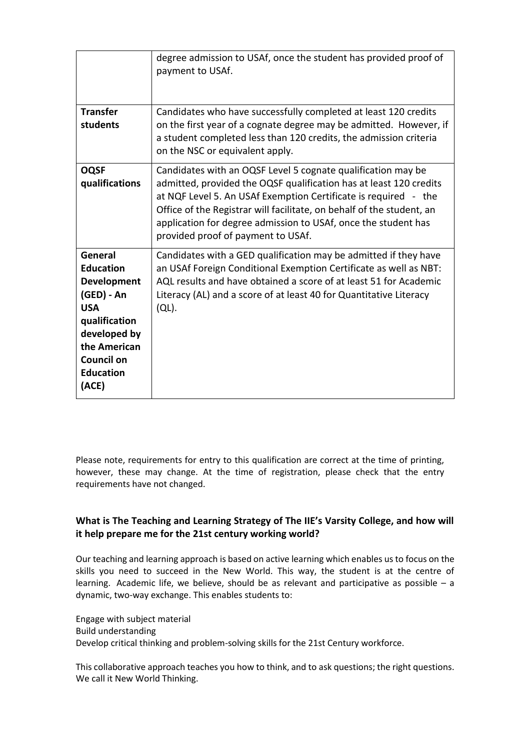| <b>Transfer</b>                                                                                                                                                                  | degree admission to USAf, once the student has provided proof of<br>payment to USAf.<br>Candidates who have successfully completed at least 120 credits                                                                                                                                                                                                                                |
|----------------------------------------------------------------------------------------------------------------------------------------------------------------------------------|----------------------------------------------------------------------------------------------------------------------------------------------------------------------------------------------------------------------------------------------------------------------------------------------------------------------------------------------------------------------------------------|
| students                                                                                                                                                                         | on the first year of a cognate degree may be admitted. However, if<br>a student completed less than 120 credits, the admission criteria<br>on the NSC or equivalent apply.                                                                                                                                                                                                             |
| <b>OQSF</b><br>qualifications                                                                                                                                                    | Candidates with an OQSF Level 5 cognate qualification may be<br>admitted, provided the OQSF qualification has at least 120 credits<br>at NQF Level 5. An USAf Exemption Certificate is required - the<br>Office of the Registrar will facilitate, on behalf of the student, an<br>application for degree admission to USAf, once the student has<br>provided proof of payment to USAf. |
| General<br><b>Education</b><br><b>Development</b><br>(GED) - An<br><b>USA</b><br>qualification<br>developed by<br>the American<br><b>Council on</b><br><b>Education</b><br>(ACE) | Candidates with a GED qualification may be admitted if they have<br>an USAf Foreign Conditional Exemption Certificate as well as NBT:<br>AQL results and have obtained a score of at least 51 for Academic<br>Literacy (AL) and a score of at least 40 for Quantitative Literacy<br>(QL).                                                                                              |

Please note, requirements for entry to this qualification are correct at the time of printing, however, these may change. At the time of registration, please check that the entry requirements have not changed.

# **What is The Teaching and Learning Strategy of The IIE's Varsity College, and how will it help prepare me for the 21st century working world?**

Our teaching and learning approach is based on active learning which enables us to focus on the skills you need to succeed in the New World. This way, the student is at the centre of learning. Academic life, we believe, should be as relevant and participative as possible  $-$  a dynamic, two-way exchange. This enables students to:

Engage with subject material Build understanding Develop critical thinking and problem-solving skills for the 21st Century workforce.

This collaborative approach teaches you how to think, and to ask questions; the right questions. We call it New World Thinking.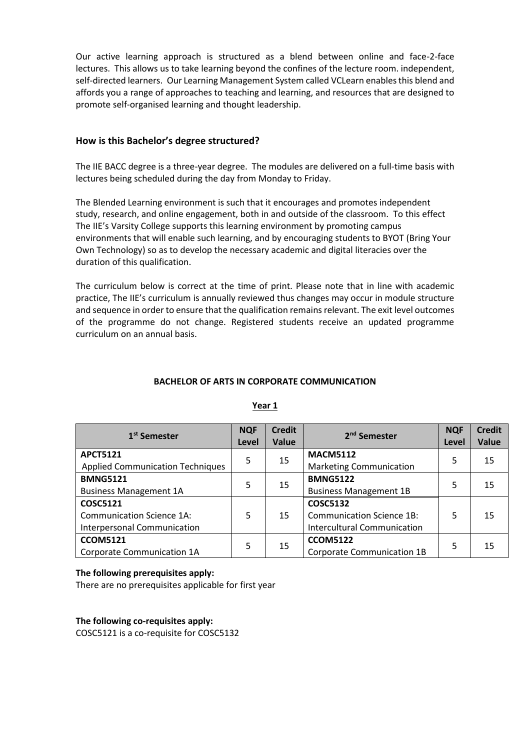Our active learning approach is structured as a blend between online and face-2-face lectures. This allows us to take learning beyond the confines of the lecture room. independent, self-directed learners. Our Learning Management System called VCLearn enables this blend and affords you a range of approaches to teaching and learning, and resources that are designed to promote self-organised learning and thought leadership.

# **How is this Bachelor's degree structured?**

The IIE BACC degree is a three-year degree. The modules are delivered on a full-time basis with lectures being scheduled during the day from Monday to Friday.

The Blended Learning environment is such that it encourages and promotes independent study, research, and online engagement, both in and outside of the classroom. To this effect The IIE's Varsity College supports this learning environment by promoting campus environments that will enable such learning, and by encouraging students to BYOT (Bring Your Own Technology) so as to develop the necessary academic and digital literacies over the duration of this qualification.

The curriculum below is correct at the time of print. Please note that in line with academic practice, The IIE's curriculum is annually reviewed thus changes may occur in module structure and sequence in order to ensure that the qualification remains relevant. The exit level outcomes of the programme do not change. Registered students receive an updated programme curriculum on an annual basis.

#### **BACHELOR OF ARTS IN CORPORATE COMMUNICATION**

| 1 <sup>st</sup> Semester                | <b>NQF</b><br>Level | <b>Credit</b><br>Value | 2 <sup>nd</sup> Semester           | <b>NQF</b><br>Level | <b>Credit</b><br>Value |
|-----------------------------------------|---------------------|------------------------|------------------------------------|---------------------|------------------------|
| <b>APCT5121</b>                         | 5                   | 15                     | <b>MACM5112</b>                    | 5                   | 15                     |
| <b>Applied Communication Techniques</b> |                     |                        | <b>Marketing Communication</b>     |                     |                        |
| <b>BMNG5121</b>                         | 5                   |                        | <b>BMNG5122</b>                    |                     |                        |
| <b>Business Management 1A</b>           |                     | 15                     | <b>Business Management 1B</b>      | 5                   | 15                     |
| <b>COSC5121</b>                         |                     |                        | <b>COSC5132</b>                    |                     |                        |
| <b>Communication Science 1A:</b>        | 5                   | 15                     | <b>Communication Science 1B:</b>   | 5                   | 15                     |
| <b>Interpersonal Communication</b>      |                     |                        | <b>Intercultural Communication</b> |                     |                        |
| <b>CCOM5121</b>                         | 5                   |                        | <b>CCOM5122</b>                    | 5                   | 15                     |
| Corporate Communication 1A              |                     | 15                     | Corporate Communication 1B         |                     |                        |

# **Year 1**

#### **The following prerequisites apply:**

There are no prerequisites applicable for first year

**The following co-requisites apply:**

COSC5121 is a co-requisite for COSC5132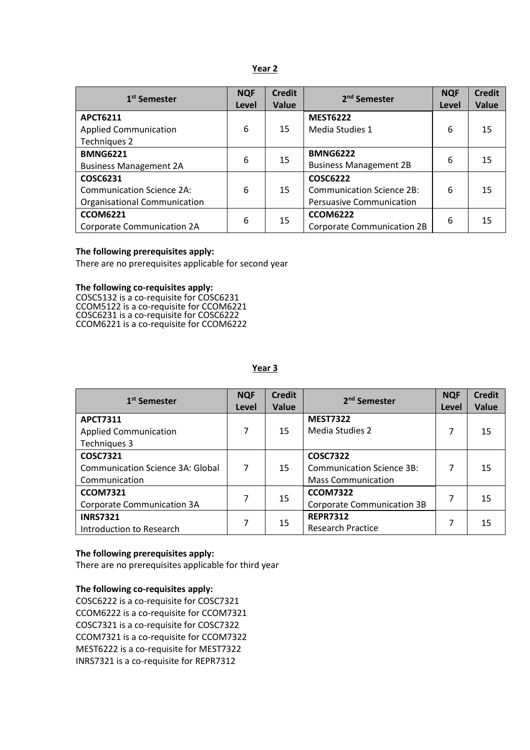| 1 <sup>st</sup> Semester            | <b>NQF</b><br>Level | <b>Credit</b><br><b>Value</b> | 2 <sup>nd</sup> Semester          | <b>NQF</b><br>Level | <b>Credit</b><br>Value |
|-------------------------------------|---------------------|-------------------------------|-----------------------------------|---------------------|------------------------|
| <b>APCT6211</b>                     |                     |                               | <b>MEST6222</b>                   |                     |                        |
| <b>Applied Communication</b>        | 6                   | 15                            | Media Studies 1                   | 6                   | 15                     |
| Techniques 2                        |                     |                               |                                   |                     |                        |
| <b>BMNG6221</b>                     | 6                   | 15                            | <b>BMNG6222</b>                   | 6                   | 15                     |
| <b>Business Management 2A</b>       |                     |                               | <b>Business Management 2B</b>     |                     |                        |
| COSC6231                            |                     |                               | <b>COSC6222</b>                   |                     |                        |
| <b>Communication Science 2A:</b>    | 6                   | 15                            | <b>Communication Science 2B:</b>  | 6                   | 15                     |
| <b>Organisational Communication</b> |                     |                               | <b>Persuasive Communication</b>   |                     |                        |
| <b>CCOM6221</b>                     | 6                   | 15                            | <b>CCOM6222</b>                   | 6                   | 15                     |
| Corporate Communication 2A          |                     |                               | <b>Corporate Communication 2B</b> |                     |                        |

#### **The following prerequisites apply:**

There are no prerequisites applicable for second year

#### **The following co-requisites apply:**

COSC5132 is a co-requisite for COSC6231 CCOM5122 is a co-requisite for CCOM6221 COSC6231 is a co-requisite for COSC6222 CCOM6221 is a co-requisite for CCOM6222

| 1 <sup>st</sup> Semester                     | <b>NQF</b><br>Level | <b>Credit</b><br><b>Value</b> | 2 <sup>nd</sup> Semester          | <b>NQF</b><br>Level | <b>Credit</b><br>Value |
|----------------------------------------------|---------------------|-------------------------------|-----------------------------------|---------------------|------------------------|
| <b>APCT7311</b>                              |                     |                               | <b>MEST7322</b>                   |                     |                        |
| <b>Applied Communication</b><br>Techniques 3 | 7                   | 15                            | Media Studies 2                   | 7                   | 15                     |
| <b>COSC7321</b>                              |                     |                               | <b>COSC7322</b>                   |                     |                        |
| Communication Science 3A: Global             | 7                   | 15                            | <b>Communication Science 3B:</b>  |                     | 15                     |
| Communication                                |                     |                               | <b>Mass Communication</b>         |                     |                        |
| <b>CCOM7321</b>                              | 7                   | 15                            | <b>CCOM7322</b>                   | 7                   | 15                     |
| Corporate Communication 3A                   |                     |                               | <b>Corporate Communication 3B</b> |                     |                        |
| <b>INRS7321</b>                              |                     | 15                            | <b>REPR7312</b>                   |                     | 15                     |
| Introduction to Research                     |                     |                               | <b>Research Practice</b>          |                     |                        |

# **Year 3**

#### **The following prerequisites apply:**

There are no prerequisites applicable for third year

#### **The following co-requisites apply:**

COSC6222 is a co-requisite for COSC7321 CCOM6222 is a co-requisite for CCOM7321 COSC7321 is a co-requisite for COSC7322 CCOM7321 is a co-requisite for CCOM7322 MEST6222 is a co-requisite for MEST7322 INRS7321 is a co-requisite for REPR7312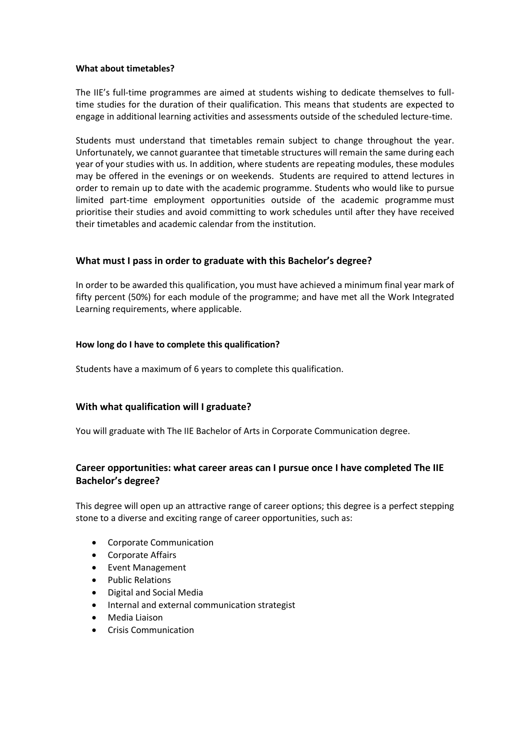#### **What about timetables?**

The IIE's full-time programmes are aimed at students wishing to dedicate themselves to fulltime studies for the duration of their qualification. This means that students are expected to engage in additional learning activities and assessments outside of the scheduled lecture-time.

Students must understand that timetables remain subject to change throughout the year. Unfortunately, we cannot guarantee that timetable structures will remain the same during each year of your studies with us. In addition, where students are repeating modules, these modules may be offered in the evenings or on weekends. Students are required to attend lectures in order to remain up to date with the academic programme. Students who would like to pursue limited part-time employment opportunities outside of the academic programme must prioritise their studies and avoid committing to work schedules until after they have received their timetables and academic calendar from the institution.

### **What must I pass in order to graduate with this Bachelor's degree?**

In order to be awarded this qualification, you must have achieved a minimum final year mark of fifty percent (50%) for each module of the programme; and have met all the Work Integrated Learning requirements, where applicable.

#### **How long do I have to complete this qualification?**

Students have a maximum of 6 years to complete this qualification.

# **With what qualification will I graduate?**

You will graduate with The IIE Bachelor of Arts in Corporate Communication degree.

# **Career opportunities: what career areas can I pursue once I have completed The IIE Bachelor's degree?**

This degree will open up an attractive range of career options; this degree is a perfect stepping stone to a diverse and exciting range of career opportunities, such as:

- Corporate Communication
- Corporate Affairs
- Event Management
- Public Relations
- Digital and Social Media
- Internal and external communication strategist
- Media Liaison
- Crisis Communication